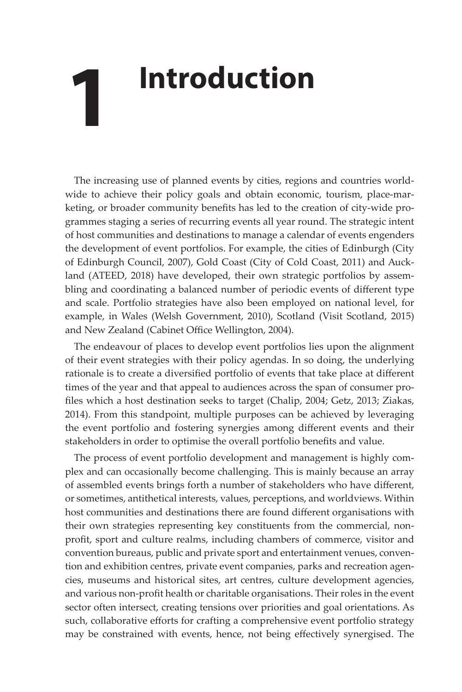## **1 Introduction**

The increasing use of planned events by cities, regions and countries worldwide to achieve their policy goals and obtain economic, tourism, place-marketing, or broader community benefits has led to the creation of city-wide programmes staging a series of recurring events all year round. The strategic intent of host communities and destinations to manage a calendar of events engenders the development of event portfolios. For example, the cities of Edinburgh (City of Edinburgh Council, 2007), Gold Coast (City of Cold Coast, 2011) and Auckland (ATEED, 2018) have developed, their own strategic portfolios by assembling and coordinating a balanced number of periodic events of different type and scale. Portfolio strategies have also been employed on national level, for example, in Wales (Welsh Government, 2010), Scotland (Visit Scotland, 2015) and New Zealand (Cabinet Office Wellington, 2004).

The endeavour of places to develop event portfolios lies upon the alignment of their event strategies with their policy agendas. In so doing, the underlying rationale is to create a diversified portfolio of events that take place at different times of the year and that appeal to audiences across the span of consumer profiles which a host destination seeks to target (Chalip, 2004; Getz, 2013; Ziakas, 2014). From this standpoint, multiple purposes can be achieved by leveraging the event portfolio and fostering synergies among different events and their stakeholders in order to optimise the overall portfolio benefits and value.

The process of event portfolio development and management is highly complex and can occasionally become challenging. This is mainly because an array of assembled events brings forth a number of stakeholders who have different, or sometimes, antithetical interests, values, perceptions, and worldviews. Within host communities and destinations there are found different organisations with their own strategies representing key constituents from the commercial, nonprofit, sport and culture realms, including chambers of commerce, visitor and convention bureaus, public and private sport and entertainment venues, convention and exhibition centres, private event companies, parks and recreation agencies, museums and historical sites, art centres, culture development agencies, and various non-profit health or charitable organisations. Their roles in the event sector often intersect, creating tensions over priorities and goal orientations. As such, collaborative efforts for crafting a comprehensive event portfolio strategy may be constrained with events, hence, not being effectively synergised. The